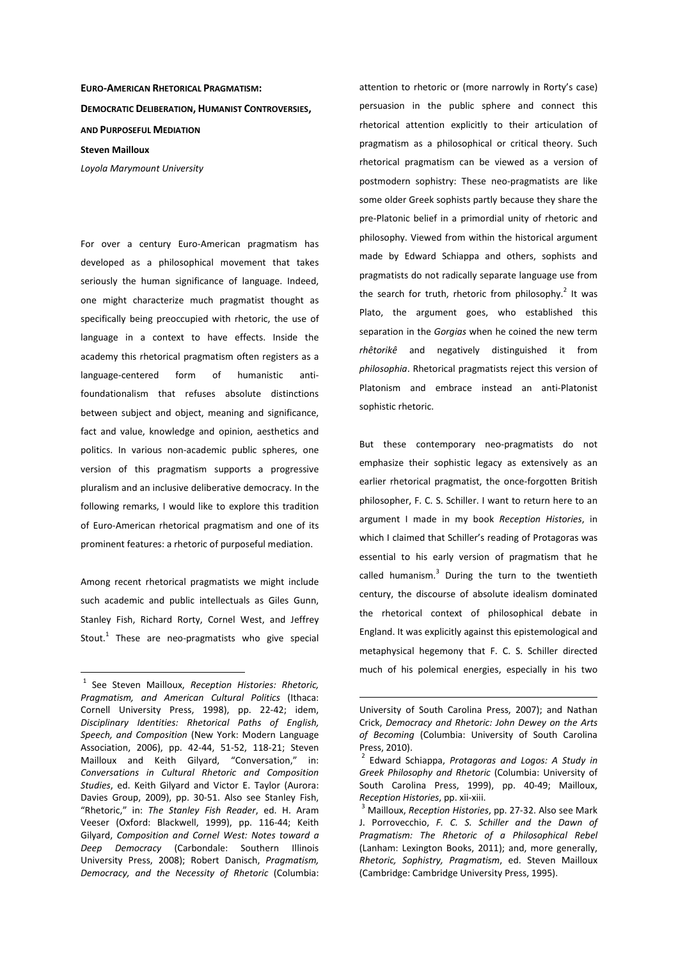**EURO-AMERICAN RHETORICAL PRAGMATISM: DEMOCRATIC DELIBERATION, HUMANIST CONTROVERSIES, AND PURPOSEFUL MEDIATION Steven Mailloux** 

*Loyola Marymount University* 

For over a century Euro-American pragmatism has developed as a philosophical movement that takes seriously the human significance of language. Indeed, one might characterize much pragmatist thought as specifically being preoccupied with rhetoric, the use of language in a context to have effects. Inside the academy this rhetorical pragmatism often registers as a language-centered form of humanistic antifoundationalism that refuses absolute distinctions between subject and object, meaning and significance, fact and value, knowledge and opinion, aesthetics and politics. In various non-academic public spheres, one version of this pragmatism supports a progressive pluralism and an inclusive deliberative democracy. In the following remarks, I would like to explore this tradition of Euro-American rhetorical pragmatism and one of its prominent features: a rhetoric of purposeful mediation.

Among recent rhetorical pragmatists we might include such academic and public intellectuals as Giles Gunn, Stanley Fish, Richard Rorty, Cornel West, and Jeffrey Stout. $1$  These are neo-pragmatists who give special

 $\overline{a}$ 

attention to rhetoric or (more narrowly in Rorty's case) persuasion in the public sphere and connect this rhetorical attention explicitly to their articulation of pragmatism as a philosophical or critical theory. Such rhetorical pragmatism can be viewed as a version of postmodern sophistry: These neo-pragmatists are like some older Greek sophists partly because they share the pre-Platonic belief in a primordial unity of rhetoric and philosophy. Viewed from within the historical argument made by Edward Schiappa and others, sophists and pragmatists do not radically separate language use from the search for truth, rhetoric from philosophy.<sup>2</sup> It was Plato, the argument goes, who established this separation in the *Gorgias* when he coined the new term *rhêtorikê* and negatively distinguished it from *philosophia*. Rhetorical pragmatists reject this version of Platonism and embrace instead an anti-Platonist sophistic rhetoric.

But these contemporary neo-pragmatists do not emphasize their sophistic legacy as extensively as an earlier rhetorical pragmatist, the once-forgotten British philosopher, F. C. S. Schiller. I want to return here to an argument I made in my book *Reception Histories*, in which I claimed that Schiller's reading of Protagoras was essential to his early version of pragmatism that he called humanism. $3$  During the turn to the twentieth century, the discourse of absolute idealism dominated the rhetorical context of philosophical debate in England. It was explicitly against this epistemological and metaphysical hegemony that F. C. S. Schiller directed much of his polemical energies, especially in his two

<sup>1</sup> See Steven Mailloux, *Reception Histories: Rhetoric, Pragmatism, and American Cultural Politics* (Ithaca: Cornell University Press, 1998), pp. 22-42; idem, *Disciplinary Identities: Rhetorical Paths of English, Speech, and Composition* (New York: Modern Language Association, 2006), pp. 42-44, 51-52, 118-21; Steven Mailloux and Keith Gilyard, "Conversation," in: *Conversations in Cultural Rhetoric and Composition Studies*, ed. Keith Gilyard and Victor E. Taylor (Aurora: Davies Group, 2009), pp. 30-51. Also see Stanley Fish, "Rhetoric," in: *The Stanley Fish Reader*, ed. H. Aram Veeser (Oxford: Blackwell, 1999), pp. 116-44; Keith Gilyard, *Composition and Cornel West: Notes toward a Deep Democracy* (Carbondale: Southern Illinois University Press, 2008); Robert Danisch, *Pragmatism, Democracy, and the Necessity of Rhetoric* (Columbia:

University of South Carolina Press, 2007); and Nathan Crick, *Democracy and Rhetoric: John Dewey on the Arts of Becoming* (Columbia: University of South Carolina Press, 2010).

<sup>2</sup> Edward Schiappa, *Protagoras and Logos: A Study in Greek Philosophy and Rhetoric* (Columbia: University of South Carolina Press, 1999), pp. 40-49; Mailloux, *Reception Histories*, pp. xii-xiii.

<sup>3</sup> Mailloux, *Reception Histories*, pp. 27-32. Also see Mark J. Porrovecchio, *F. C. S. Schiller and the Dawn of Pragmatism: The Rhetoric of a Philosophical Rebel* (Lanham: Lexington Books, 2011); and, more generally, *Rhetoric, Sophistry, Pragmatism*, ed. Steven Mailloux (Cambridge: Cambridge University Press, 1995).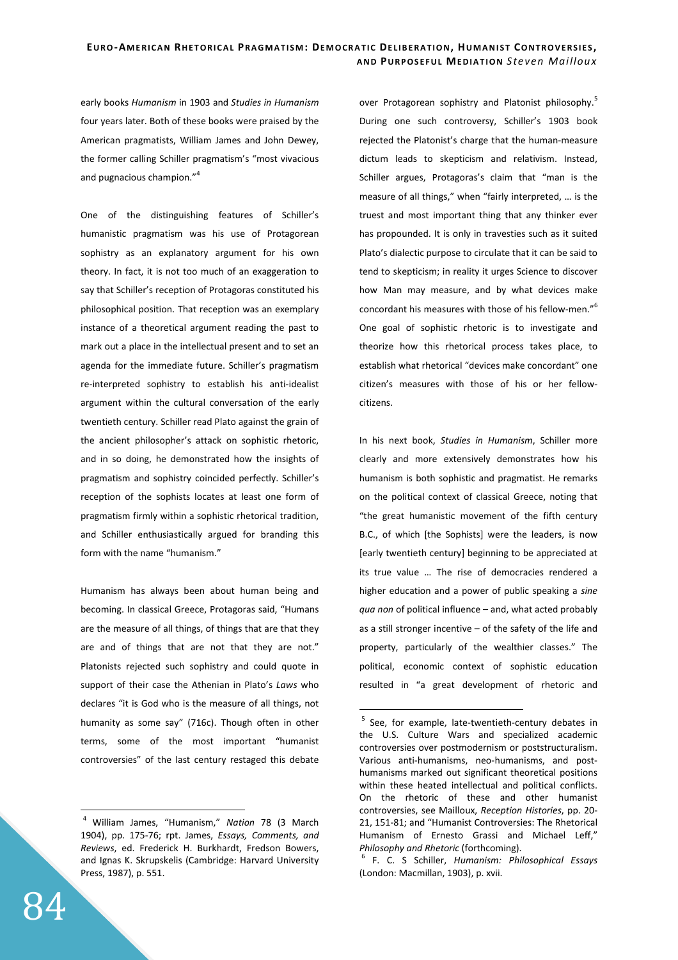## EURO-AMERICAN RHETORICAL PRAGMATISM: DEMOCRATIC DELIBERATION, HUMANIST CONTROVERSIES, **A N D PU R P O S E F U L ME D I A T I O N** *Ste ven Mailloux*

early books *Humanism* in 1903 and *Studies in Humanism* four years later. Both of these books were praised by the American pragmatists, William James and John Dewey, the former calling Schiller pragmatism's "most vivacious and pugnacious champion."<sup>4</sup>

One of the distinguishing features of Schiller's humanistic pragmatism was his use of Protagorean sophistry as an explanatory argument for his own theory. In fact, it is not too much of an exaggeration to say that Schiller's reception of Protagoras constituted his philosophical position. That reception was an exemplary instance of a theoretical argument reading the past to mark out a place in the intellectual present and to set an agenda for the immediate future. Schiller's pragmatism re-interpreted sophistry to establish his anti-idealist argument within the cultural conversation of the early twentieth century. Schiller read Plato against the grain of the ancient philosopher's attack on sophistic rhetoric, and in so doing, he demonstrated how the insights of pragmatism and sophistry coincided perfectly. Schiller's reception of the sophists locates at least one form of pragmatism firmly within a sophistic rhetorical tradition, and Schiller enthusiastically argued for branding this form with the name "humanism."

Humanism has always been about human being and becoming. In classical Greece, Protagoras said, "Humans are the measure of all things, of things that are that they are and of things that are not that they are not." Platonists rejected such sophistry and could quote in support of their case the Athenian in Plato's *Laws* who declares "it is God who is the measure of all things, not humanity as some say" (716c). Though often in other terms, some of the most important "humanist controversies" of the last century restaged this debate

over Protagorean sophistry and Platonist philosophy.<sup>5</sup> During one such controversy, Schiller's 1903 book rejected the Platonist's charge that the human-measure dictum leads to skepticism and relativism. Instead, Schiller argues, Protagoras's claim that "man is the measure of all things," when "fairly interpreted, … is the truest and most important thing that any thinker ever has propounded. It is only in travesties such as it suited Plato's dialectic purpose to circulate that it can be said to tend to skepticism; in reality it urges Science to discover how Man may measure, and by what devices make concordant his measures with those of his fellow-men."<sup>6</sup> One goal of sophistic rhetoric is to investigate and theorize how this rhetorical process takes place, to establish what rhetorical "devices make concordant" one citizen's measures with those of his or her fellowcitizens.

In his next book, *Studies in Humanism*, Schiller more clearly and more extensively demonstrates how his humanism is both sophistic and pragmatist. He remarks on the political context of classical Greece, noting that "the great humanistic movement of the fifth century B.C., of which [the Sophists] were the leaders, is now [early twentieth century] beginning to be appreciated at its true value … The rise of democracies rendered a higher education and a power of public speaking a *sine qua non* of political influence – and, what acted probably as a still stronger incentive – of the safety of the life and property, particularly of the wealthier classes." The political, economic context of sophistic education resulted in "a great development of rhetoric and

 $\overline{a}$ 

<sup>4</sup> William James, "Humanism," *Nation* 78 (3 March 1904), pp. 175-76; rpt. James, *Essays, Comments, and Reviews*, ed. Frederick H. Burkhardt, Fredson Bowers, and Ignas K. Skrupskelis (Cambridge: Harvard University Press, 1987), p. 551.

<sup>&</sup>lt;sup>5</sup> See, for example, late-twentieth-century debates in the U.S. Culture Wars and specialized academic controversies over postmodernism or poststructuralism. Various anti-humanisms, neo-humanisms, and posthumanisms marked out significant theoretical positions within these heated intellectual and political conflicts. On the rhetoric of these and other humanist controversies, see Mailloux, *Reception Histories*, pp. 20- 21, 151-81; and "Humanist Controversies: The Rhetorical Humanism of Ernesto Grassi and Michael Leff," *Philosophy and Rhetoric* (forthcoming).

<sup>6</sup> F. C. S Schiller, *Humanism: Philosophical Essays* (London: Macmillan, 1903), p. xvii.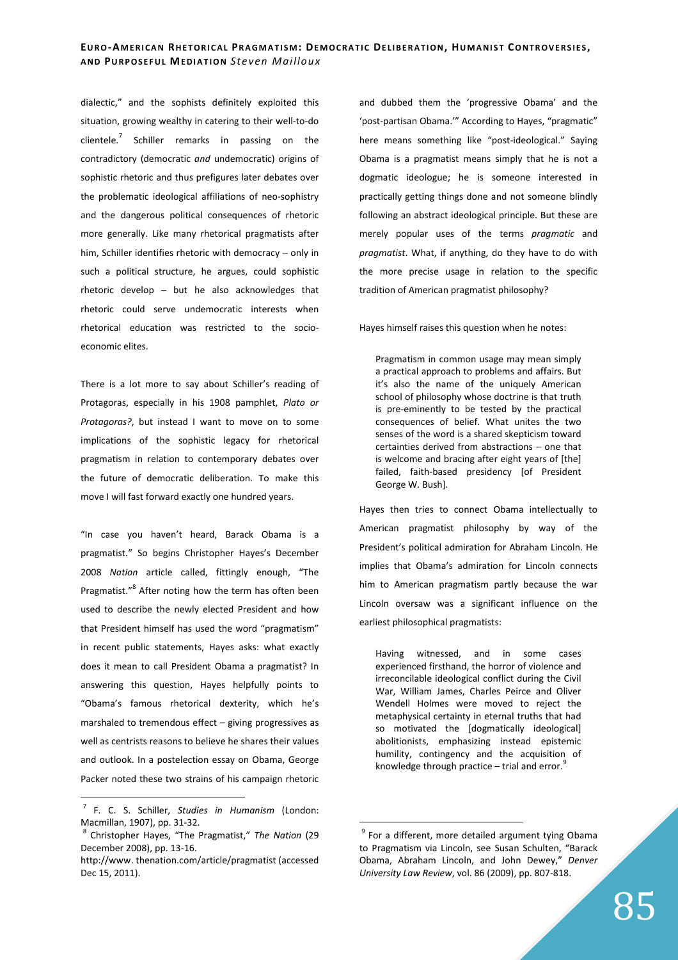dialectic," and the sophists definitely exploited this situation, growing wealthy in catering to their well-to-do clientele.<sup>7</sup> Schiller remarks in passing on the contradictory (democratic *and* undemocratic) origins of sophistic rhetoric and thus prefigures later debates over the problematic ideological affiliations of neo-sophistry and the dangerous political consequences of rhetoric more generally. Like many rhetorical pragmatists after him, Schiller identifies rhetoric with democracy – only in such a political structure, he argues, could sophistic rhetoric develop – but he also acknowledges that rhetoric could serve undemocratic interests when rhetorical education was restricted to the socioeconomic elites.

There is a lot more to say about Schiller's reading of Protagoras, especially in his 1908 pamphlet, *Plato or Protagoras?*, but instead I want to move on to some implications of the sophistic legacy for rhetorical pragmatism in relation to contemporary debates over the future of democratic deliberation. To make this move I will fast forward exactly one hundred years.

"In case you haven't heard, Barack Obama is a pragmatist." So begins Christopher Hayes's December 2008 *Nation* article called, fittingly enough, "The Pragmatist."<sup>8</sup> After noting how the term has often been used to describe the newly elected President and how that President himself has used the word "pragmatism" in recent public statements, Hayes asks: what exactly does it mean to call President Obama a pragmatist? In answering this question, Hayes helpfully points to "Obama's famous rhetorical dexterity, which he's marshaled to tremendous effect – giving progressives as well as centrists reasons to believe he shares their values and outlook. In a postelection essay on Obama, George Packer noted these two strains of his campaign rhetoric

 $\overline{a}$ 

and dubbed them the 'progressive Obama' and the 'post-partisan Obama.'" According to Hayes, "pragmatic" here means something like "post-ideological." Saying Obama is a pragmatist means simply that he is not a dogmatic ideologue; he is someone interested in practically getting things done and not someone blindly following an abstract ideological principle. But these are merely popular uses of the terms *pragmatic* and *pragmatist*. What, if anything, do they have to do with the more precise usage in relation to the specific tradition of American pragmatist philosophy?

Hayes himself raises this question when he notes:

Pragmatism in common usage may mean simply a practical approach to problems and affairs. But it's also the name of the uniquely American school of philosophy whose doctrine is that truth is pre-eminently to be tested by the practical consequences of belief. What unites the two senses of the word is a shared skepticism toward certainties derived from abstractions – one that is welcome and bracing after eight years of [the] failed, faith-based presidency [of President George W. Bush].

Hayes then tries to connect Obama intellectually to American pragmatist philosophy by way of the President's political admiration for Abraham Lincoln. He implies that Obama's admiration for Lincoln connects him to American pragmatism partly because the war Lincoln oversaw was a significant influence on the earliest philosophical pragmatists:

Having witnessed, and in some cases experienced firsthand, the horror of violence and irreconcilable ideological conflict during the Civil War, William James, Charles Peirce and Oliver Wendell Holmes were moved to reject the metaphysical certainty in eternal truths that had so motivated the [dogmatically ideological] abolitionists, emphasizing instead epistemic humility, contingency and the acquisition of knowledge through practice  $-$  trial and error.<sup>9</sup>

<sup>7</sup> F. C. S. Schiller, *Studies in Humanism* (London: Macmillan, 1907), pp. 31-32.

<sup>8</sup> Christopher Hayes, "The Pragmatist," *The Nation* (29 December 2008), pp. 13-16.

http://www. thenation.com/article/pragmatist (accessed Dec 15, 2011).

<sup>&</sup>lt;sup>9</sup> For a different, more detailed argument tying Obama to Pragmatism via Lincoln, see Susan Schulten, "Barack Obama, Abraham Lincoln, and John Dewey," *Denver University Law Review*, vol. 86 (2009), pp. 807-818.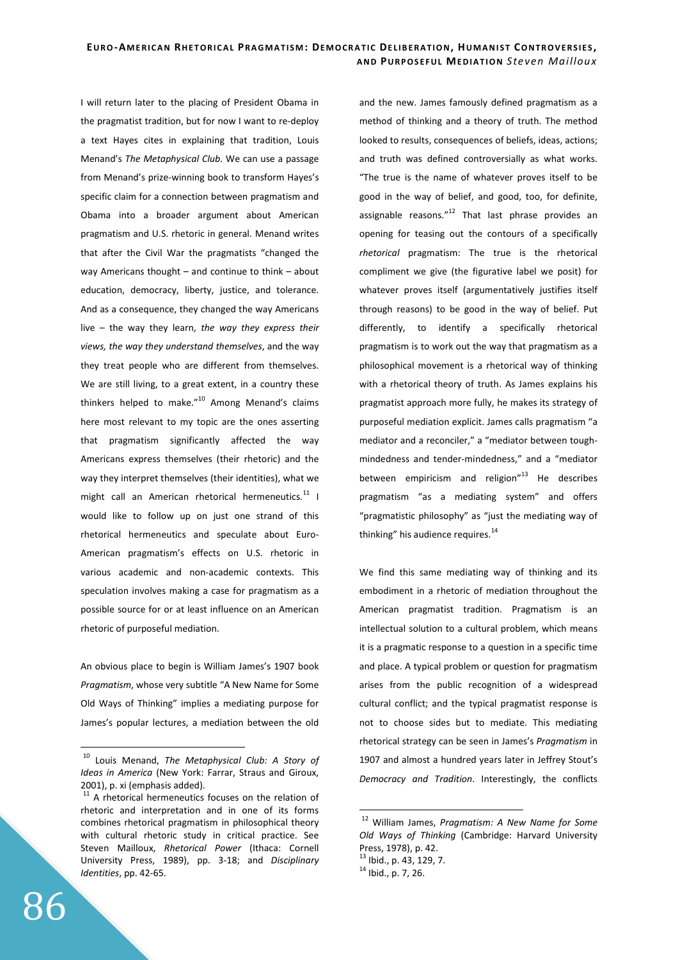I will return later to the placing of President Obama in the pragmatist tradition, but for now I want to re-deploy a text Hayes cites in explaining that tradition, Louis Menand's *The Metaphysical Club*. We can use a passage from Menand's prize-winning book to transform Hayes's specific claim for a connection between pragmatism and Obama into a broader argument about American pragmatism and U.S. rhetoric in general. Menand writes that after the Civil War the pragmatists "changed the way Americans thought – and continue to think – about education, democracy, liberty, justice, and tolerance. And as a consequence, they changed the way Americans live – the way they learn, *the way they express their views, the way they understand themselves*, and the way they treat people who are different from themselves. We are still living, to a great extent, in a country these thinkers helped to make. $n^{10}$  Among Menand's claims here most relevant to my topic are the ones asserting that pragmatism significantly affected the way Americans express themselves (their rhetoric) and the way they interpret themselves (their identities), what we might call an American rhetorical hermeneutics. $^{11}$  I would like to follow up on just one strand of this rhetorical hermeneutics and speculate about Euro-American pragmatism's effects on U.S. rhetoric in various academic and non-academic contexts. This speculation involves making a case for pragmatism as a possible source for or at least influence on an American rhetoric of purposeful mediation.

An obvious place to begin is William James's 1907 book *Pragmatism*, whose very subtitle "A New Name for Some Old Ways of Thinking" implies a mediating purpose for James's popular lectures, a mediation between the old and the new. James famously defined pragmatism as a method of thinking and a theory of truth. The method looked to results, consequences of beliefs, ideas, actions; and truth was defined controversially as what works. "The true is the name of whatever proves itself to be good in the way of belief, and good, too, for definite, assignable reasons." $^{12}$  That last phrase provides an opening for teasing out the contours of a specifically *rhetorical* pragmatism: The true is the rhetorical compliment we give (the figurative label we posit) for whatever proves itself (argumentatively justifies itself through reasons) to be good in the way of belief. Put differently, to identify a specifically rhetorical pragmatism is to work out the way that pragmatism as a philosophical movement is a rhetorical way of thinking with a rhetorical theory of truth. As James explains his pragmatist approach more fully, he makes its strategy of purposeful mediation explicit. James calls pragmatism "a mediator and a reconciler," a "mediator between toughmindedness and tender-mindedness," and a "mediator between empiricism and religion"<sup>13</sup> He describes pragmatism "as a mediating system" and offers "pragmatistic philosophy" as "just the mediating way of thinking" his audience requires.<sup>14</sup>

We find this same mediating way of thinking and its embodiment in a rhetoric of mediation throughout the American pragmatist tradition. Pragmatism is an intellectual solution to a cultural problem, which means it is a pragmatic response to a question in a specific time and place. A typical problem or question for pragmatism arises from the public recognition of a widespread cultural conflict; and the typical pragmatist response is not to choose sides but to mediate. This mediating rhetorical strategy can be seen in James's *Pragmatism* in 1907 and almost a hundred years later in Jeffrey Stout's *Democracy and Tradition*. Interestingly, the conflicts

<sup>14</sup> Ibid., p. 7, 26.

 $\overline{a}$ <sup>10</sup> Louis Menand, *The Metaphysical Club: A Story of Ideas in America* (New York: Farrar, Straus and Giroux, 2001), p. xi (emphasis added).

 $11$  A rhetorical hermeneutics focuses on the relation of rhetoric and interpretation and in one of its forms combines rhetorical pragmatism in philosophical theory with cultural rhetoric study in critical practice. See Steven Mailloux, *Rhetorical Power* (Ithaca: Cornell University Press, 1989), pp. 3-18; and *Disciplinary Identities*, pp. 42-65.

<sup>12</sup> William James, *Pragmatism: A New Name for Some Old Ways of Thinking* (Cambridge: Harvard University Press, 1978), p. 42.

<sup>13</sup> Ibid., p. 43, 129, 7.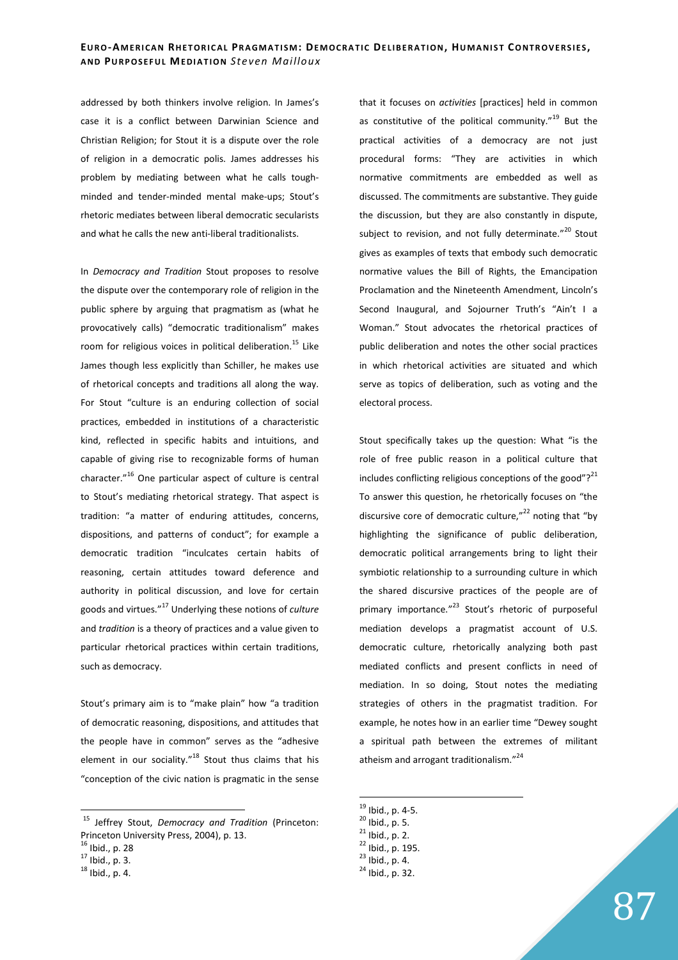addressed by both thinkers involve religion. In James's case it is a conflict between Darwinian Science and Christian Religion; for Stout it is a dispute over the role of religion in a democratic polis. James addresses his problem by mediating between what he calls toughminded and tender-minded mental make-ups; Stout's rhetoric mediates between liberal democratic secularists and what he calls the new anti-liberal traditionalists.

In *Democracy and Tradition* Stout proposes to resolve the dispute over the contemporary role of religion in the public sphere by arguing that pragmatism as (what he provocatively calls) "democratic traditionalism" makes room for religious voices in political deliberation.<sup>15</sup> Like James though less explicitly than Schiller, he makes use of rhetorical concepts and traditions all along the way. For Stout "culture is an enduring collection of social practices, embedded in institutions of a characteristic kind, reflected in specific habits and intuitions, and capable of giving rise to recognizable forms of human character."<sup>16</sup> One particular aspect of culture is central to Stout's mediating rhetorical strategy. That aspect is tradition: "a matter of enduring attitudes, concerns, dispositions, and patterns of conduct"; for example a democratic tradition "inculcates certain habits of reasoning, certain attitudes toward deference and authority in political discussion, and love for certain goods and virtues."<sup>17</sup> Underlying these notions of *culture* and *tradition* is a theory of practices and a value given to particular rhetorical practices within certain traditions, such as democracy.

Stout's primary aim is to "make plain" how "a tradition of democratic reasoning, dispositions, and attitudes that the people have in common" serves as the "adhesive element in our sociality." $18$  Stout thus claims that his "conception of the civic nation is pragmatic in the sense

 $\overline{a}$ 

that it focuses on *activities* [practices] held in common as constitutive of the political community."<sup>19</sup> But the practical activities of a democracy are not just procedural forms: "They are activities in which normative commitments are embedded as well as discussed. The commitments are substantive. They guide the discussion, but they are also constantly in dispute, subject to revision, and not fully determinate."<sup>20</sup> Stout gives as examples of texts that embody such democratic normative values the Bill of Rights, the Emancipation Proclamation and the Nineteenth Amendment, Lincoln's Second Inaugural, and Sojourner Truth's "Ain't I a Woman." Stout advocates the rhetorical practices of public deliberation and notes the other social practices in which rhetorical activities are situated and which serve as topics of deliberation, such as voting and the electoral process.

Stout specifically takes up the question: What "is the role of free public reason in a political culture that includes conflicting religious conceptions of the good"? $^{21}$ To answer this question, he rhetorically focuses on "the discursive core of democratic culture, $v^{22}$  noting that "by highlighting the significance of public deliberation, democratic political arrangements bring to light their symbiotic relationship to a surrounding culture in which the shared discursive practices of the people are of primary importance."<sup>23</sup> Stout's rhetoric of purposeful mediation develops a pragmatist account of U.S. democratic culture, rhetorically analyzing both past mediated conflicts and present conflicts in need of mediation. In so doing, Stout notes the mediating strategies of others in the pragmatist tradition. For example, he notes how in an earlier time "Dewey sought a spiritual path between the extremes of militant atheism and arrogant traditionalism."<sup>24</sup>

 $^{19}$  Ibid., p. 4-5.

- <sup>22</sup> Ibid., p. 195.
- $^{23}$  Ibid., p. 4.
- <sup>24</sup> Ibid., p. 32.

<sup>15</sup> Jeffrey Stout, *Democracy and Tradition* (Princeton: Princeton University Press, 2004), p. 13.

 $16$  Ibid., p. 28

 $17$  Ibid., p. 3.

 $18$  Ibid., p. 4.

<sup>20</sup> Ibid., p. 5.

 $21$  Ibid., p. 2.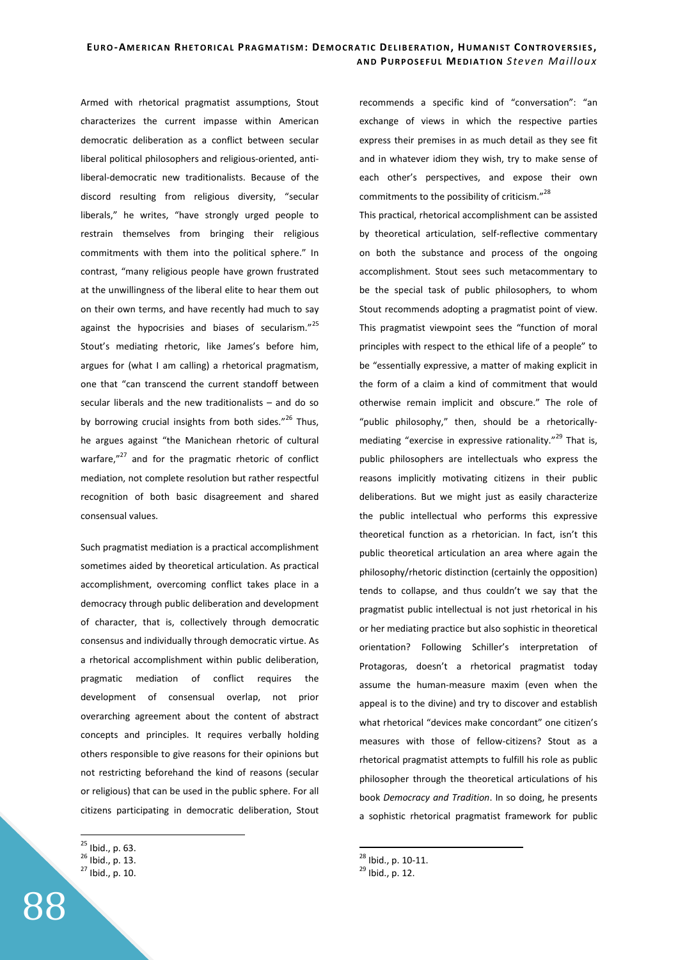Armed with rhetorical pragmatist assumptions, Stout characterizes the current impasse within American democratic deliberation as a conflict between secular liberal political philosophers and religious-oriented, antiliberal-democratic new traditionalists. Because of the discord resulting from religious diversity, "secular liberals," he writes, "have strongly urged people to restrain themselves from bringing their religious commitments with them into the political sphere." In contrast, "many religious people have grown frustrated at the unwillingness of the liberal elite to hear them out on their own terms, and have recently had much to say against the hypocrisies and biases of secularism."<sup>25</sup> Stout's mediating rhetoric, like James's before him, argues for (what I am calling) a rhetorical pragmatism, one that "can transcend the current standoff between secular liberals and the new traditionalists – and do so by borrowing crucial insights from both sides."<sup>26</sup> Thus, he argues against "the Manichean rhetoric of cultural warfare."<sup>27</sup> and for the pragmatic rhetoric of conflict mediation, not complete resolution but rather respectful recognition of both basic disagreement and shared consensual values.

Such pragmatist mediation is a practical accomplishment sometimes aided by theoretical articulation. As practical accomplishment, overcoming conflict takes place in a democracy through public deliberation and development of character, that is, collectively through democratic consensus and individually through democratic virtue. As a rhetorical accomplishment within public deliberation, pragmatic mediation of conflict requires the development of consensual overlap, not prior overarching agreement about the content of abstract concepts and principles. It requires verbally holding others responsible to give reasons for their opinions but not restricting beforehand the kind of reasons (secular or religious) that can be used in the public sphere. For all citizens participating in democratic deliberation, Stout

 $\overline{a}$ 

recommends a specific kind of "conversation": "an exchange of views in which the respective parties express their premises in as much detail as they see fit and in whatever idiom they wish, try to make sense of each other's perspectives, and expose their own commitments to the possibility of criticism."<sup>28</sup>

This practical, rhetorical accomplishment can be assisted by theoretical articulation, self-reflective commentary on both the substance and process of the ongoing accomplishment. Stout sees such metacommentary to be the special task of public philosophers, to whom Stout recommends adopting a pragmatist point of view. This pragmatist viewpoint sees the "function of moral principles with respect to the ethical life of a people" to be "essentially expressive, a matter of making explicit in the form of a claim a kind of commitment that would otherwise remain implicit and obscure." The role of "public philosophy," then, should be a rhetoricallymediating "exercise in expressive rationality."<sup>29</sup> That is, public philosophers are intellectuals who express the reasons implicitly motivating citizens in their public deliberations. But we might just as easily characterize the public intellectual who performs this expressive theoretical function as a rhetorician. In fact, isn't this public theoretical articulation an area where again the philosophy/rhetoric distinction (certainly the opposition) tends to collapse, and thus couldn't we say that the pragmatist public intellectual is not just rhetorical in his or her mediating practice but also sophistic in theoretical orientation? Following Schiller's interpretation of Protagoras, doesn't a rhetorical pragmatist today assume the human-measure maxim (even when the appeal is to the divine) and try to discover and establish what rhetorical "devices make concordant" one citizen's measures with those of fellow-citizens? Stout as a rhetorical pragmatist attempts to fulfill his role as public philosopher through the theoretical articulations of his book *Democracy and Tradition*. In so doing, he presents a sophistic rhetorical pragmatist framework for public

<sup>28</sup> Ibid., p. 10-11.

 $^{25}$  Ibid., p. 63.

<sup>26</sup> Ibid., p. 13.

<sup>27</sup> Ibid., p. 10.

<sup>29</sup> Ibid., p. 12.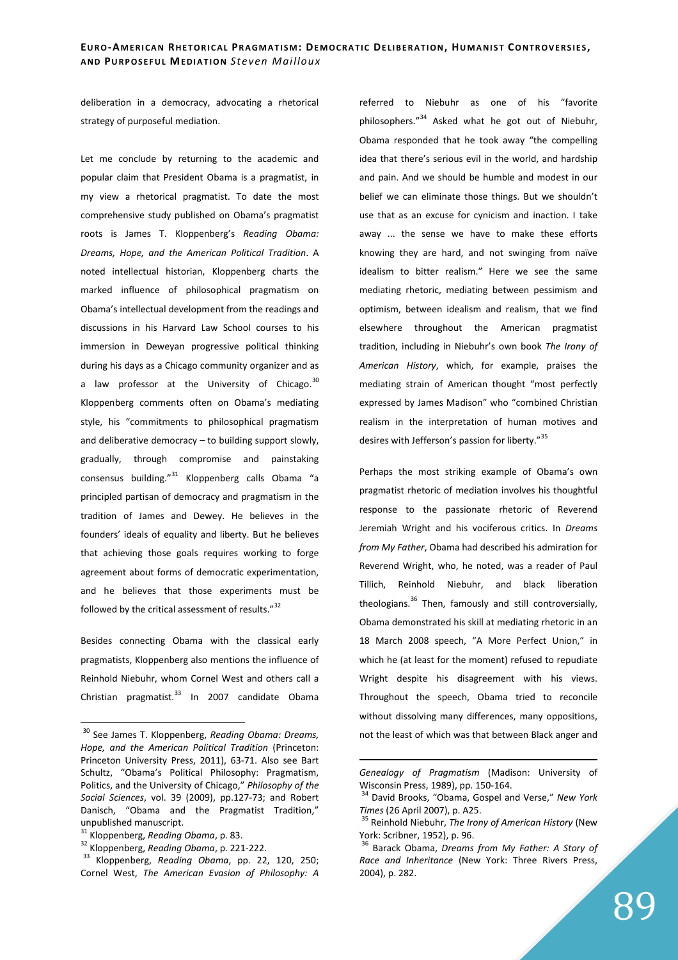deliberation in a democracy, advocating a rhetorical strategy of purposeful mediation.

Let me conclude by returning to the academic and popular claim that President Obama is a pragmatist, in my view a rhetorical pragmatist. To date the most comprehensive study published on Obama's pragmatist roots is James T. Kloppenberg's *Reading Obama: Dreams, Hope, and the American Political Tradition*. A noted intellectual historian, Kloppenberg charts the marked influence of philosophical pragmatism on Obama's intellectual development from the readings and discussions in his Harvard Law School courses to his immersion in Deweyan progressive political thinking during his days as a Chicago community organizer and as a law professor at the University of Chicago. $30$ Kloppenberg comments often on Obama's mediating style, his "commitments to philosophical pragmatism and deliberative democracy – to building support slowly, gradually, through compromise and painstaking consensus building."<sup>31</sup> Kloppenberg calls Obama "a principled partisan of democracy and pragmatism in the tradition of James and Dewey. He believes in the founders' ideals of equality and liberty. But he believes that achieving those goals requires working to forge agreement about forms of democratic experimentation, and he believes that those experiments must be followed by the critical assessment of results."<sup>32</sup>

Besides connecting Obama with the classical early pragmatists, Kloppenberg also mentions the influence of Reinhold Niebuhr, whom Cornel West and others call a Christian pragmatist. $33$  In 2007 candidate Obama

 $\overline{a}$ 

referred to Niebuhr as one of his "favorite philosophers."<sup>34</sup> Asked what he got out of Niebuhr, Obama responded that he took away "the compelling idea that there's serious evil in the world, and hardship and pain. And we should be humble and modest in our belief we can eliminate those things. But we shouldn't use that as an excuse for cynicism and inaction. I take away ... the sense we have to make these efforts knowing they are hard, and not swinging from naïve idealism to bitter realism." Here we see the same mediating rhetoric, mediating between pessimism and optimism, between idealism and realism, that we find elsewhere throughout the American pragmatist tradition, including in Niebuhr's own book *The Irony of American History*, which, for example, praises the mediating strain of American thought "most perfectly expressed by James Madison" who "combined Christian realism in the interpretation of human motives and desires with Jefferson's passion for liberty."<sup>35</sup>

Perhaps the most striking example of Obama's own pragmatist rhetoric of mediation involves his thoughtful response to the passionate rhetoric of Reverend Jeremiah Wright and his vociferous critics. In *Dreams from My Father*, Obama had described his admiration for Reverend Wright, who, he noted, was a reader of Paul Tillich, Reinhold Niebuhr, and black liberation theologians.<sup>36</sup> Then, famously and still controversially, Obama demonstrated his skill at mediating rhetoric in an 18 March 2008 speech, "A More Perfect Union," in which he (at least for the moment) refused to repudiate Wright despite his disagreement with his views. Throughout the speech, Obama tried to reconcile without dissolving many differences, many oppositions, not the least of which was that between Black anger and

<sup>30</sup> See James T. Kloppenberg, *Reading Obama: Dreams, Hope, and the American Political Tradition* (Princeton: Princeton University Press, 2011), 63-71. Also see Bart Schultz, "Obama's Political Philosophy: Pragmatism, Politics, and the University of Chicago," *Philosophy of the Social Sciences*, vol. 39 (2009), pp.127-73; and Robert Danisch, "Obama and the Pragmatist Tradition," unpublished manuscript.

<sup>31</sup> Kloppenberg, *Reading Obama*, p. 83.

<sup>32</sup> Kloppenberg, *Reading Obama*, p. 221-222.

<sup>33</sup> Kloppenberg, *Reading Obama*, pp. 22, 120, 250; Cornel West, *The American Evasion of Philosophy: A* 

*Genealogy of Pragmatism* (Madison: University of Wisconsin Press, 1989), pp. 150-164.

<sup>34</sup> David Brooks, "Obama, Gospel and Verse," *New York Times* (26 April 2007), p. A25.

<sup>35</sup> Reinhold Niebuhr, *The Irony of American History* (New York: Scribner, 1952), p. 96.

<sup>36</sup> Barack Obama, *Dreams from My Father: A Story of Race and Inheritance* (New York: Three Rivers Press, 2004), p. 282.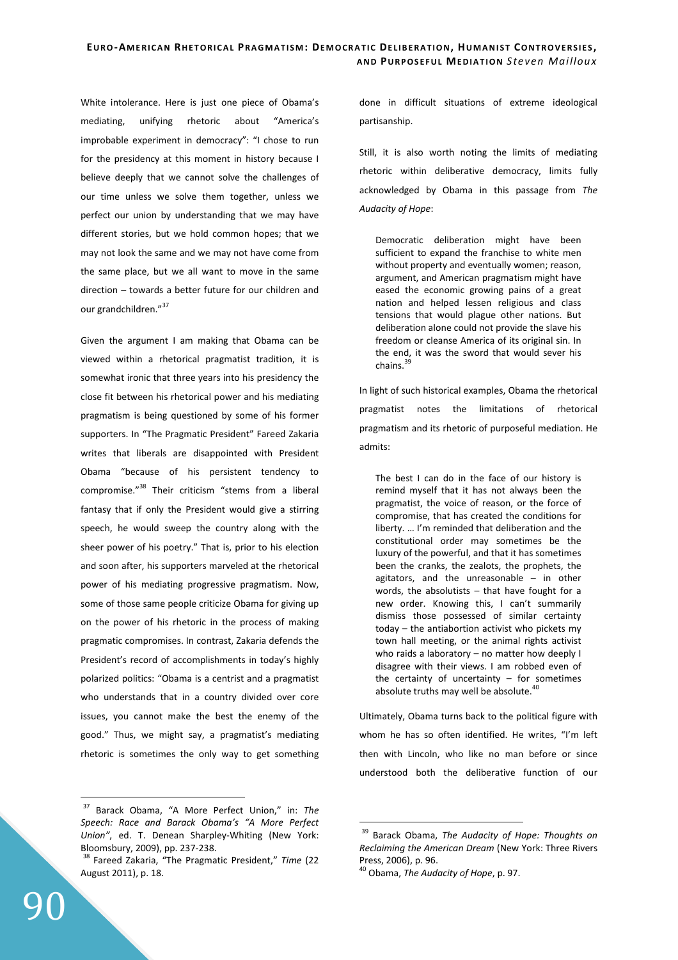White intolerance. Here is just one piece of Obama's mediating, unifying rhetoric about "America's improbable experiment in democracy": "I chose to run for the presidency at this moment in history because I believe deeply that we cannot solve the challenges of our time unless we solve them together, unless we perfect our union by understanding that we may have different stories, but we hold common hopes; that we may not look the same and we may not have come from the same place, but we all want to move in the same direction – towards a better future for our children and our grandchildren."<sup>37</sup>

Given the argument I am making that Obama can be viewed within a rhetorical pragmatist tradition, it is somewhat ironic that three years into his presidency the close fit between his rhetorical power and his mediating pragmatism is being questioned by some of his former supporters. In "The Pragmatic President" Fareed Zakaria writes that liberals are disappointed with President Obama "because of his persistent tendency to compromise."<sup>38</sup> Their criticism "stems from a liberal fantasy that if only the President would give a stirring speech, he would sweep the country along with the sheer power of his poetry." That is, prior to his election and soon after, his supporters marveled at the rhetorical power of his mediating progressive pragmatism. Now, some of those same people criticize Obama for giving up on the power of his rhetoric in the process of making pragmatic compromises. In contrast, Zakaria defends the President's record of accomplishments in today's highly polarized politics: "Obama is a centrist and a pragmatist who understands that in a country divided over core issues, you cannot make the best the enemy of the good." Thus, we might say, a pragmatist's mediating rhetoric is sometimes the only way to get something

<sup>37</sup> Barack Obama, "A More Perfect Union," in: *The Speech: Race and Barack Obama's "A More Perfect Union"*, ed. T. Denean Sharpley-Whiting (New York: Bloomsbury, 2009), pp. 237-238.

done in difficult situations of extreme ideological partisanship.

Still, it is also worth noting the limits of mediating rhetoric within deliberative democracy, limits fully acknowledged by Obama in this passage from *The Audacity of Hope*:

Democratic deliberation might have been sufficient to expand the franchise to white men without property and eventually women; reason, argument, and American pragmatism might have eased the economic growing pains of a great nation and helped lessen religious and class tensions that would plague other nations. But deliberation alone could not provide the slave his freedom or cleanse America of its original sin. In the end, it was the sword that would sever his chains.<sup>3</sup>

In light of such historical examples, Obama the rhetorical pragmatist notes the limitations of rhetorical pragmatism and its rhetoric of purposeful mediation. He admits:

The best I can do in the face of our history is remind myself that it has not always been the pragmatist, the voice of reason, or the force of compromise, that has created the conditions for liberty. … I'm reminded that deliberation and the constitutional order may sometimes be the luxury of the powerful, and that it has sometimes been the cranks, the zealots, the prophets, the agitators, and the unreasonable – in other words, the absolutists – that have fought for a new order. Knowing this, I can't summarily dismiss those possessed of similar certainty today – the antiabortion activist who pickets my town hall meeting, or the animal rights activist who raids a laboratory – no matter how deeply I disagree with their views. I am robbed even of the certainty of uncertainty  $-$  for sometimes absolute truths may well be absolute.<sup>4</sup> I

Ultimately, Obama turns back to the political figure with whom he has so often identified. He writes, "I'm left then with Lincoln, who like no man before or since understood both the deliberative function of our

 $\overline{a}$ 

<sup>38</sup> Fareed Zakaria, "The Pragmatic President," *Time* (22 August 2011), p. 18.

<sup>39</sup> Barack Obama, *The Audacity of Hope: Thoughts on Reclaiming the American Dream* (New York: Three Rivers Press, 2006), p. 96.

<sup>40</sup> Obama, *The Audacity of Hope*, p. 97.